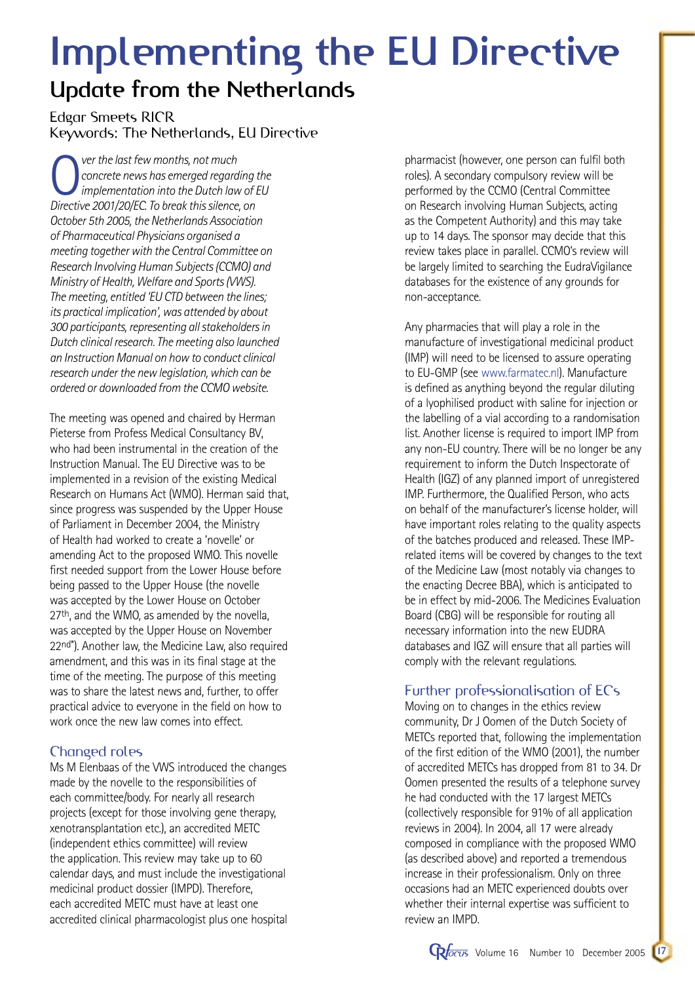# **Implementing the EU Directive**

# **Update from the Netherlands**

Edgar Smeets RICR Keywords: The Netherlands, EU Directive

**O** ver the last few months, not much<br>
concrete news has emerged regard<br>
implementation into the Dutch lave<br>
Directive 2001/20/EC To break this silence *concrete news has emerged regarding the implementation into the Dutch law of EU Directive 2001/20/EC. To break this silence, on October 5th 2005, the Netherlands Association of Pharmaceutical Physicians organised a meeting together with the Central Committee on Research Involving Human Subjects (CCMO) and Ministry of Health, Welfare and Sports (VWS). The meeting, entitled 'EU CTD between the lines; its practical implication', was attended by about 300 participants, representing all stakeholders in Dutch clinical research. The meeting also launched an Instruction Manual on how to conduct clinical research under the new legislation, which can be ordered or downloaded from the CCMO website.*

The meeting was opened and chaired by Herman Pieterse from Profess Medical Consultancy BV, who had been instrumental in the creation of the Instruction Manual. The EU Directive was to be implemented in a revision of the existing Medical Research on Humans Act (WMO). Herman said that, since progress was suspended by the Upper House of Parliament in December 2004, the Ministry of Health had worked to create a 'novelle' or amending Act to the proposed WMO. This novelle first needed support from the Lower House before being passed to the Upper House (the novelle was accepted by the Lower House on October 27<sup>th</sup>, and the WMO, as amended by the novella, was accepted by the Upper House on November 22nd\*). Another law, the Medicine Law, also required amendment, and this was in its final stage at the time of the meeting. The purpose of this meeting was to share the latest news and, further, to offer practical advice to everyone in the field on how to work once the new law comes into effect.

# Changed roles

Ms M Elenbaas of the VWS introduced the changes made by the novelle to the responsibilities of each committee/body. For nearly all research projects (except for those involving gene therapy, xenotransplantation etc.), an accredited METC (independent ethics committee) will review the application. This review may take up to 60 calendar days, and must include the investigational medicinal product dossier (IMPD). Therefore, each accredited METC must have at least one accredited clinical pharmacologist plus one hospital pharmacist (however, one person can fulfil both roles). A secondary compulsory review will be performed by the CCMO (Central Committee on Research involving Human Subjects, acting as the Competent Authority) and this may take up to 14 days. The sponsor may decide that this review takes place in parallel. CCMO's review will be largely limited to searching the EudraVigilance databases for the existence of any grounds for non-acceptance.

Any pharmacies that will play a role in the manufacture of investigational medicinal product (IMP) will need to be licensed to assure operating to EU-GMP (see www.farmatec.nl). Manufacture is defined as anything beyond the regular diluting of a lyophilised product with saline for injection or the labelling of a vial according to a randomisation list. Another license is required to import IMP from any non-EU country. There will be no longer be any requirement to inform the Dutch Inspectorate of Health (IGZ) of any planned import of unregistered IMP. Furthermore, the Qualified Person, who acts on behalf of the manufacturer's license holder, will have important roles relating to the quality aspects of the batches produced and released. These IMPrelated items will be covered by changes to the text of the Medicine Law (most notably via changes to the enacting Decree BBA), which is anticipated to be in effect by mid-2006. The Medicines Evaluation Board (CBG) will be responsible for routing all necessary information into the new EUDRA databases and IGZ will ensure that all parties will comply with the relevant regulations.

# Further professionalisation of ECs

Moving on to changes in the ethics review community, Dr J Oomen of the Dutch Society of METCs reported that, following the implementation of the first edition of the WMO (2001), the number of accredited METCs has dropped from 81 to 34. Dr Oomen presented the results of a telephone survey he had conducted with the 17 largest METCs (collectively responsible for 91% of all application reviews in 2004). In 2004, all 17 were already composed in compliance with the proposed WMO (as described above) and reported a tremendous increase in their professionalism. Only on three occasions had an METC experienced doubts over whether their internal expertise was sufficient to review an IMPD.